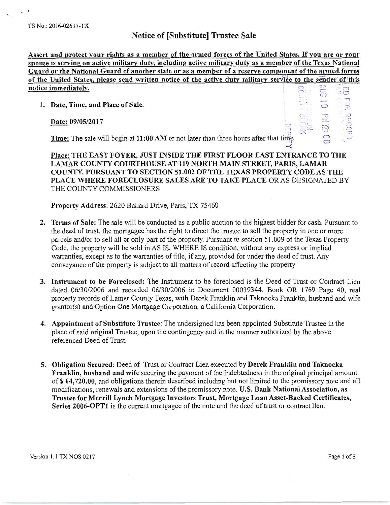## Notice of [Substitute] Trustee Sale

Assert and protect your rights as a member of the armed forces of the United States. If you are or your spouse is serving on active military duty, including active military duty as a member of the Texas National Guard or the National Guard of another state or as a member of a reserve component of the armed forces of the United States, please send written notice of the active duty military service is  $\mathbb{Z}_{\mathbb{Z}}^{\mathbb{Z}}$ notice immediately. :--.......

1. Date, Time, and Place of Sale.

Date: 09/05/2017

|  |     | <u>ee</u> to the sender of th |
|--|-----|-------------------------------|
|  | GIO |                               |
|  |     |                               |
|  |     |                               |
|  |     |                               |

 $\prec$ 

Time: The sale will begin at  $11:00$  AM or not later than three hours after that time

Place: THE EAST FOYER, JUST INSIDE THE FIRST FLOOR EAST ENTRANCE TO THE LAMAR COUNTY COURTHOUSE AT 119 NORTH MAIN STREET, PARIS, LAMAR COUNTY. PURSUANT TO SECTION 51.002 OF THE TEXAS PROPERTY CODE AS THE PLACE WHERE FORECLOSURE SALES ARE TO TAKE PLACE OR AS DESIGNATED BY THE COUNTY COMMISSIONERS

Property Address: 2620 Ballard Drive, Paris, TX 75460

- 2. Terms of Sale: The sale will be conducted as a public auction to the highest bidder for cash. Pursuant to the deed of trust, the mortgagee has the right to direct the trustee to sell the property in one or more parcels and/or to sell all or only part of the property. Pursuant to section 51 .009 of the Texas Property Code, the property will be sold in AS IS, WHERE IS condition, without any express or implied warranties, except as to the warranties of title, if any, provided for under the deed of trust. Any conveyance of the property is subject to all matters of record affecting the property
- 3. Instrument to be Foreclosed: The Instrument to be foreclosed is the Deed of Trust or Contract Lien dated 06/30/2006 and recorded 06/30/2006 in Document 00039344, Book OR 1769 Page 40, real property records of Lamar County Texas, with Derek Franklin and Taknocka Franklin, husband and wife grantor(s) and Option One Mortgage Corporation, a California Corporation.
- 4. Appointment of Substitute Trustee: The undersigned has been appointed Substitute Trustee in the place of said original Trustee, upon the contingency and in the manner authorized by the above referenced Deed of Trust.
- 5. Obligation Secured: Deed of Trust or Contract Lien executed by Derek Franklin and Taknocka Franklin, husband and wife securing the payment of the indebtedness in the original principal amount of\$ 64,720.00, and obligations therein described including but not limited to the promissory note and all modifications, renewals and extensions of the promissory note. U.S. Bank National Association, as Trustee for Merrill Lynch Mortgage Investors Trust, Mortgage Loan Asset-Backed Certificates, Series 2006-0PTl is the current mortgagee of the note and the deed of trust or contract lien.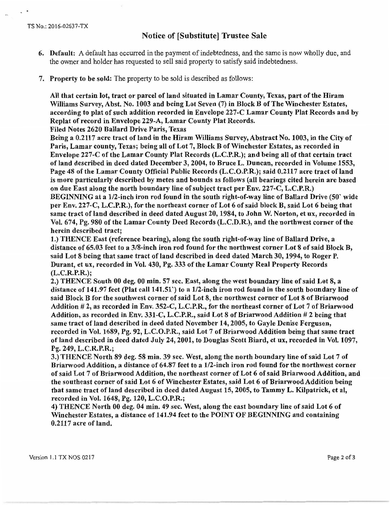$\frac{1}{2}$ 

## Notice of [Substitute] Trustee Sale

- 6. Default: A default has occurred in the payment of indebtedness, and the same is now wholly due, and the owner and holder has requested to sell said property to satisfy said indebtedness.
- 7. Property to be sold: The property to be sold is described as follows:

All that certain lot, tract or parcel of land situated in Lamar County, Texas, part of the Hiram Williams Survey, Abst. No. 1003 and being Lot Seven (7) in Block B of The Winchester Estates, according to plat of such addition recorded in Envelope 227-C Lamar County Plat Records and by Replat of record in Envelope 229-A, Lamar County Plat Records.

Filed Notes 2620 Ballard Drive Paris, Texas

Being a 0.2117 acre tract of land in the Hiram Williams Survey, Abstract No. 1003, in the City of Paris, Lamar county, Texas; being all of Lot 7, Block B of Winchester Estates, as recorded in Envelope 227-C of the Lamar County Plat Records (L.C.P.R.); and being all of that certain tract of land described in deed dated December 3, 2004, to Bruce L. Duncan, recorded in Volume 1553, Page 48 of the Lamar County Official Public Records (L.C.O.P.R.); said 0.2117 acre tract of land is more particularly described by metes and bounds as follows (all bearings cited herein are based on due East along the north boundary line of subject tract per Env. 227-C, L.C.P.R.) BEGINNING at a 1/2-inch iron rod found in the south right-of-way line of Ballard Drive (SO' wide per Env. 227-C, L.C.P.R.), for the northeast corner of Lot 6 of said block B, said Lot 6 being that

same tract of land described in deed dated August 20, 1984, to John W. Norton, et ux, recorded in Vol. 674, Pg. 980 of the Lamar County Deed Records (L.C.D.R.), and the northwest corner of the herein described tract;

1.) THENCE East (reference bearing), along the south right-of-way line of Ballard Drive, a distance of 65.03 feet to a 3/8-inch iron rod found for the northwest corner Lot 8 of said Block B, said Lot 8 being that same tract of land described in deed dated March 30, 1994, to Roger P. Durant, et ux, recorded in Vol. 430, Pg. 333 of the Lamar County Real Property Records (L.C.R.P.R.);

2.) THENCE South 00 deg. 00 min. 57 sec. East, along the west boundary line of said Lot 8, a distance of 141.97 feet (Plat call 141.51 ') to a 1/2-inch iron rod found in the south boundary line of said Block B for the southwest corner of said Lot 8, the northwest corner of Lot 8 of Briarwood Addition # 2, as recorded in Env. 352-C, L.C.P.R., for the northeast corner of Lot 7 of Briarwood Addition, as recorded in Env. 331-C, L.C.P.R., said Lot 8 of Briarwood Addition # 2 being that same tract of land described in deed dated November 14, 2005, to Gayle Denise Ferguson, recorded in Vol. 1689, Pg. 92, L.C.O.P.R., said Lot 7 of Briarwood Addition being that same tract of land described in deed dated July 24, 2001, to Douglas Scott Biard, et ux, recorded in Vol. 1097, Pg. 249, L.C.R.P.R.;

3.) THENCE North 89 deg. 58 min. 39 sec. West, along the north boundary line of said Lot 7 of Briarwood Addition, a distance of 64.87 feet to a 1/2-inch iron rod found for the northwest corner of said Lot 7 of Briarwood Addition, the northeast corner of Lot 6 of said Briarwood Addition, and the southeast corner of said Lot 6 of Winchester Estates, said Lot 6 of Briarwood Addition being that same tract of land described in deed dated August 15, 2005, to Tammy L. Kilpatrick, et al, recorded in Vol. 1648, Pg. 120, L.C.O.P.R.;

4) THENCE North 00 deg. 04 min. 49 sec. West, along the cast boundary line of said Lot 6 of Winchester Estates, a distance of 141.94 feet to the POINT OF BEGINNING and containing 0.2117 acre of land.